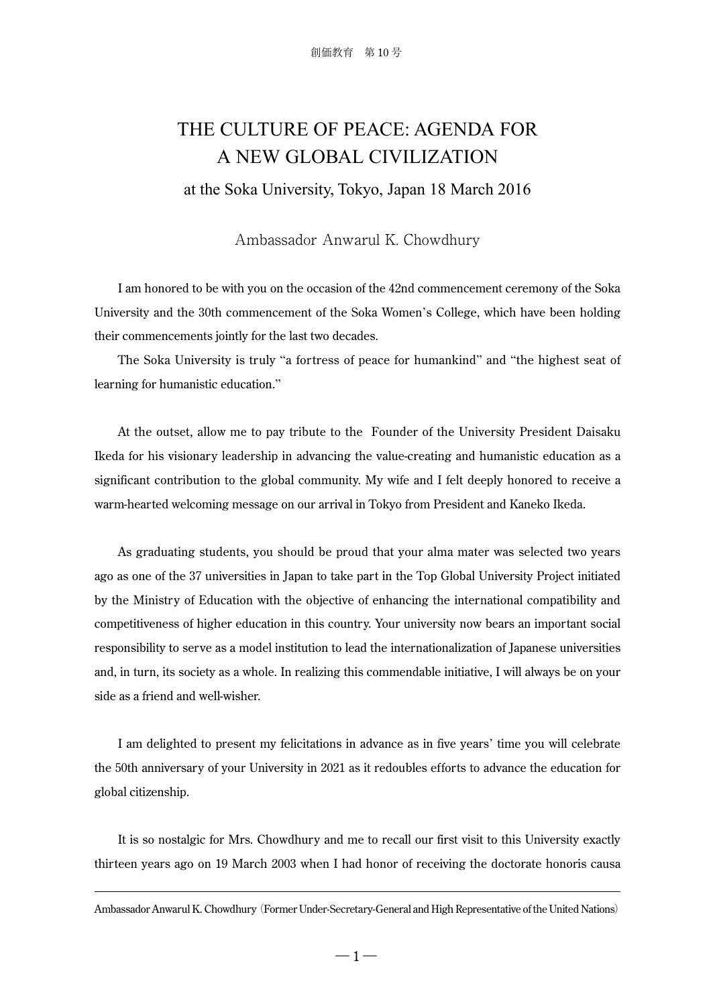## THE CULTURE OF PEACE: AGENDA FOR A NEW GLOBAL CIVILIZATION

at the Soka University, Tokyo, Japan 18 March 2016

Ambassador Anwarul K. Chowdhury

I am honored to be with you on the occasion of the 42nd commencement ceremony of the Soka University and the 30th commencement of the Soka Women's College, which have been holding their commencements jointly for the last two decades.

The Soka University is truly "a fortress of peace for humankind" and "the highest seat of learning for humanistic education."

At the outset, allow me to pay tribute to the Founder of the University President Daisaku Ikeda for his visionary leadership in advancing the value-creating and humanistic education as a significant contribution to the global community. My wife and I felt deeply honored to receive a warm-hearted welcoming message on our arrival in Tokyo from President and Kaneko Ikeda.

As graduating students, you should be proud that your alma mater was selected two years ago as one of the 37 universities in Japan to take part in the Top Global University Project initiated by the Ministry of Education with the objective of enhancing the international compatibility and competitiveness of higher education in this country. Your university now bears an important social responsibility to serve as a model institution to lead the internationalization of Japanese universities and, in turn, its society as a whole. In realizing this commendable initiative, I will always be on your side as a friend and well-wisher.

I am delighted to present my felicitations in advance as in five years' time you will celebrate the 50th anniversary of your University in 2021 as it redoubles efforts to advance the education for global citizenship.

It is so nostalgic for Mrs. Chowdhury and me to recall our first visit to this University exactly thirteen years ago on 19 March 2003 when I had honor of receiving the doctorate honoris causa

Ambassador Anwarul K. Chowdhury(Former Under-Secretary-General and High Representative of the United Nations)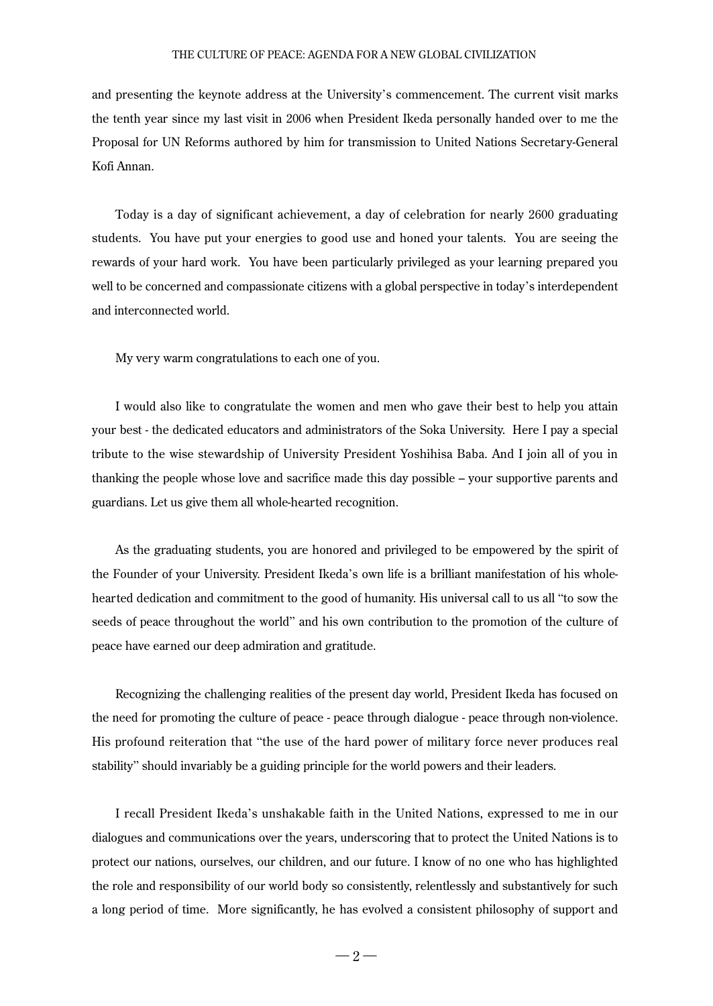## THE CULTURE OF PEACE: AGENDA FOR A NEW GLOBAL CIVILIZATION

and presenting the keynote address at the University's commencement. The current visit marks the tenth year since my last visit in 2006 when President Ikeda personally handed over to me the Proposal for UN Reforms authored by him for transmission to United Nations Secretary-General Kofi Annan.

Today is a day of significant achievement, a day of celebration for nearly 2600 graduating students. You have put your energies to good use and honed your talents. You are seeing the rewards of your hard work. You have been particularly privileged as your learning prepared you well to be concerned and compassionate citizens with a global perspective in today's interdependent and interconnected world.

My very warm congratulations to each one of you.

I would also like to congratulate the women and men who gave their best to help you attain your best - the dedicated educators and administrators of the Soka University. Here I pay a special tribute to the wise stewardship of University President Yoshihisa Baba. And I join all of you in thanking the people whose love and sacrifice made this day possible – your supportive parents and guardians. Let us give them all whole-hearted recognition.

As the graduating students, you are honored and privileged to be empowered by the spirit of the Founder of your University. President Ikeda's own life is a brilliant manifestation of his wholehearted dedication and commitment to the good of humanity. His universal call to us all "to sow the seeds of peace throughout the world" and his own contribution to the promotion of the culture of peace have earned our deep admiration and gratitude.

Recognizing the challenging realities of the present day world, President Ikeda has focused on the need for promoting the culture of peace - peace through dialogue - peace through non-violence. His profound reiteration that "the use of the hard power of military force never produces real stability" should invariably be a guiding principle for the world powers and their leaders.

I recall President Ikeda's unshakable faith in the United Nations, expressed to me in our dialogues and communications over the years, underscoring that to protect the United Nations is to protect our nations, ourselves, our children, and our future. I know of no one who has highlighted the role and responsibility of our world body so consistently, relentlessly and substantively for such a long period of time. More significantly, he has evolved a consistent philosophy of support and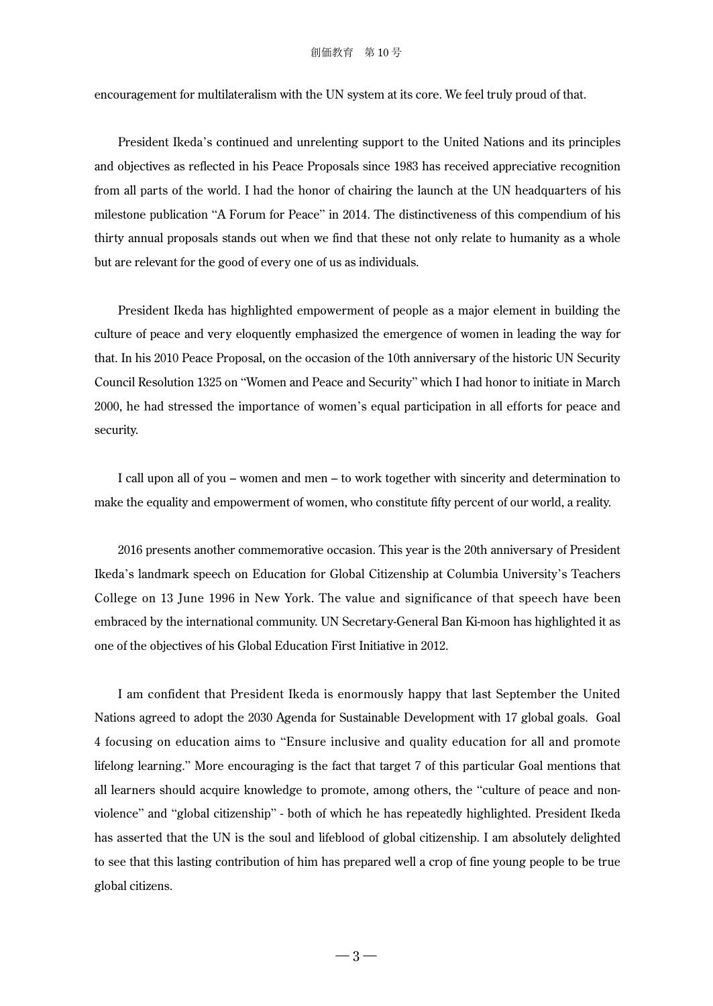encouragement for multilateralism with the UN system at its core. We feel truly proud of that.

President Ikeda's continued and unrelenting support to the United Nations and its principles and objectives as reflected in his Peace Proposals since 1983 has received appreciative recognition from all parts of the world. I had the honor of chairing the launch at the UN headquarters of his milestone publication "A Forum for Peace" in 2014. The distinctiveness of this compendium of his thirty annual proposals stands out when we find that these not only relate to humanity as a whole but are relevant for the good of every one of us as individuals.

President Ikeda has highlighted empowerment of people as a major element in building the culture of peace and very eloquently emphasized the emergence of women in leading the way for that. In his 2010 Peace Proposal, on the occasion of the 10th anniversary of the historic UN Security Council Resolution 1325 on "Women and Peace and Security" which I had honor to initiate in March 2000, he had stressed the importance of women's equal participation in all efforts for peace and security.

I call upon all of you – women and men – to work together with sincerity and determination to make the equality and empowerment of women, who constitute fifty percent of our world, a reality.

2016 presents another commemorative occasion. This year is the 20th anniversary of President Ikeda's landmark speech on Education for Global Citizenship at Columbia University's Teachers College on 13 June 1996 in New York. The value and significance of that speech have been embraced by the international community. UN Secretary-General Ban Ki-moon has highlighted it as one of the objectives of his Global Education First Initiative in 2012.

I am confident that President Ikeda is enormously happy that last September the United Nations agreed to adopt the 2030 Agenda for Sustainable Development with 17 global goals. Goal 4 focusing on education aims to "Ensure inclusive and quality education for all and promote lifelong learning." More encouraging is the fact that target 7 of this particular Goal mentions that all learners should acquire knowledge to promote, among others, the "culture of peace and nonviolence" and "global citizenship" - both of which he has repeatedly highlighted. President Ikeda has asserted that the UN is the soul and lifeblood of global citizenship. I am absolutely delighted to see that this lasting contribution of him has prepared well a crop of fine young people to be true global citizens.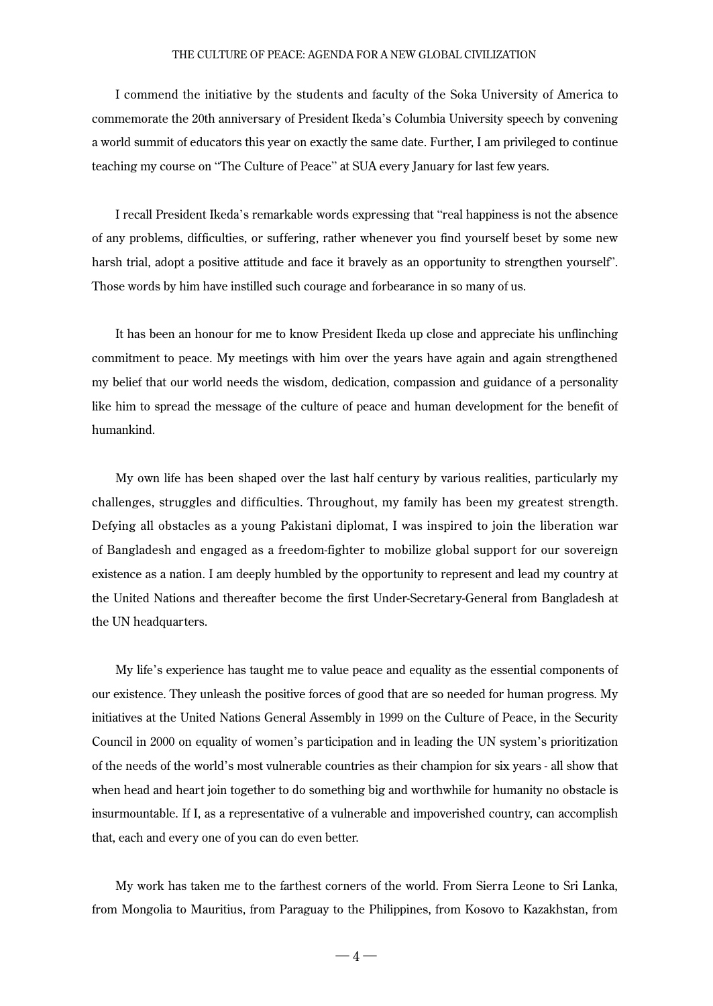## THE CULTURE OF PEACE: AGENDA FOR A NEW GLOBAL CIVILIZATION

I commend the initiative by the students and faculty of the Soka University of America to commemorate the 20th anniversary of President Ikeda's Columbia University speech by convening a world summit of educators this year on exactly the same date. Further, I am privileged to continue teaching my course on "The Culture of Peace" at SUA every January for last few years.

I recall President Ikeda's remarkable words expressing that "real happiness is not the absence of any problems, difficulties, or suffering, rather whenever you find yourself beset by some new harsh trial, adopt a positive attitude and face it bravely as an opportunity to strengthen yourself". Those words by him have instilled such courage and forbearance in so many of us.

It has been an honour for me to know President Ikeda up close and appreciate his unflinching commitment to peace. My meetings with him over the years have again and again strengthened my belief that our world needs the wisdom, dedication, compassion and guidance of a personality like him to spread the message of the culture of peace and human development for the benefit of humankind.

My own life has been shaped over the last half century by various realities, particularly my challenges, struggles and difficulties. Throughout, my family has been my greatest strength. Defying all obstacles as a young Pakistani diplomat, I was inspired to join the liberation war of Bangladesh and engaged as a freedom-fighter to mobilize global support for our sovereign existence as a nation. I am deeply humbled by the opportunity to represent and lead my country at the United Nations and thereafter become the first Under-Secretary-General from Bangladesh at the UN headquarters.

My life's experience has taught me to value peace and equality as the essential components of our existence. They unleash the positive forces of good that are so needed for human progress. My initiatives at the United Nations General Assembly in 1999 on the Culture of Peace, in the Security Council in 2000 on equality of women's participation and in leading the UN system's prioritization of the needs of the world's most vulnerable countries as their champion for six years - all show that when head and heart join together to do something big and worthwhile for humanity no obstacle is insurmountable. If I, as a representative of a vulnerable and impoverished country, can accomplish that, each and every one of you can do even better.

My work has taken me to the farthest corners of the world. From Sierra Leone to Sri Lanka, from Mongolia to Mauritius, from Paraguay to the Philippines, from Kosovo to Kazakhstan, from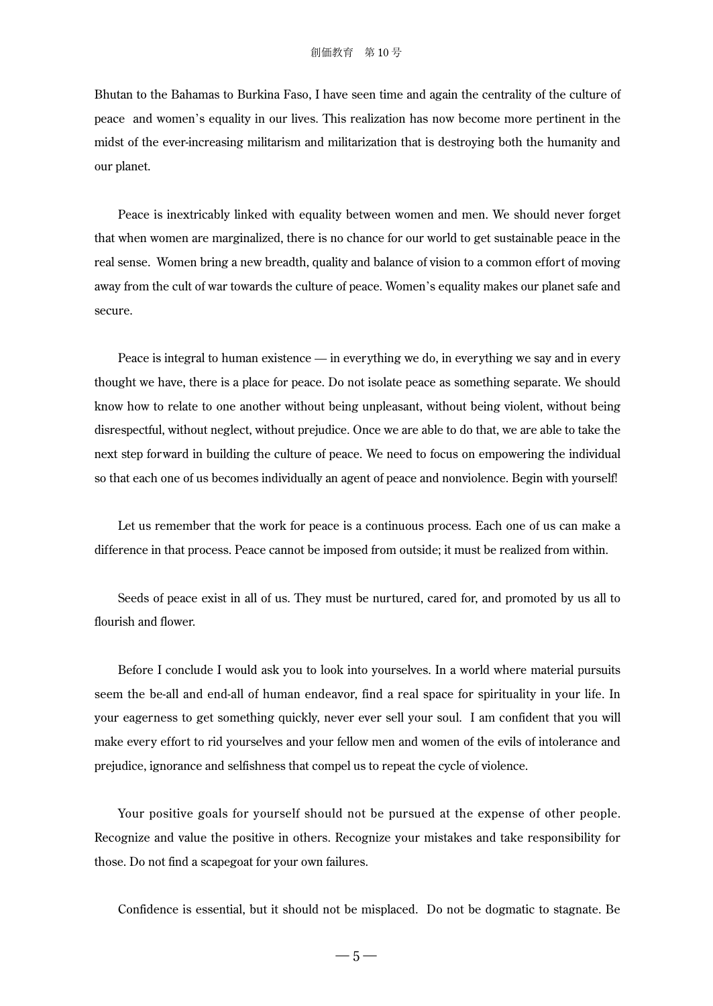Bhutan to the Bahamas to Burkina Faso, I have seen time and again the centrality of the culture of peace and women's equality in our lives. This realization has now become more pertinent in the midst of the ever-increasing militarism and militarization that is destroying both the humanity and our planet.

Peace is inextricably linked with equality between women and men. We should never forget that when women are marginalized, there is no chance for our world to get sustainable peace in the real sense. Women bring a new breadth, quality and balance of vision to a common effort of moving away from the cult of war towards the culture of peace. Women's equality makes our planet safe and secure.

Peace is integral to human existence — in everything we do, in everything we say and in every thought we have, there is a place for peace. Do not isolate peace as something separate. We should know how to relate to one another without being unpleasant, without being violent, without being disrespectful, without neglect, without prejudice. Once we are able to do that, we are able to take the next step forward in building the culture of peace. We need to focus on empowering the individual so that each one of us becomes individually an agent of peace and nonviolence. Begin with yourself!

Let us remember that the work for peace is a continuous process. Each one of us can make a difference in that process. Peace cannot be imposed from outside; it must be realized from within.

Seeds of peace exist in all of us. They must be nurtured, cared for, and promoted by us all to flourish and flower.

Before I conclude I would ask you to look into yourselves. In a world where material pursuits seem the be-all and end-all of human endeavor, find a real space for spirituality in your life. In your eagerness to get something quickly, never ever sell your soul. I am confident that you will make every effort to rid yourselves and your fellow men and women of the evils of intolerance and prejudice, ignorance and selfishness that compel us to repeat the cycle of violence.

Your positive goals for yourself should not be pursued at the expense of other people. Recognize and value the positive in others. Recognize your mistakes and take responsibility for those. Do not find a scapegoat for your own failures.

Confidence is essential, but it should not be misplaced. Do not be dogmatic to stagnate. Be